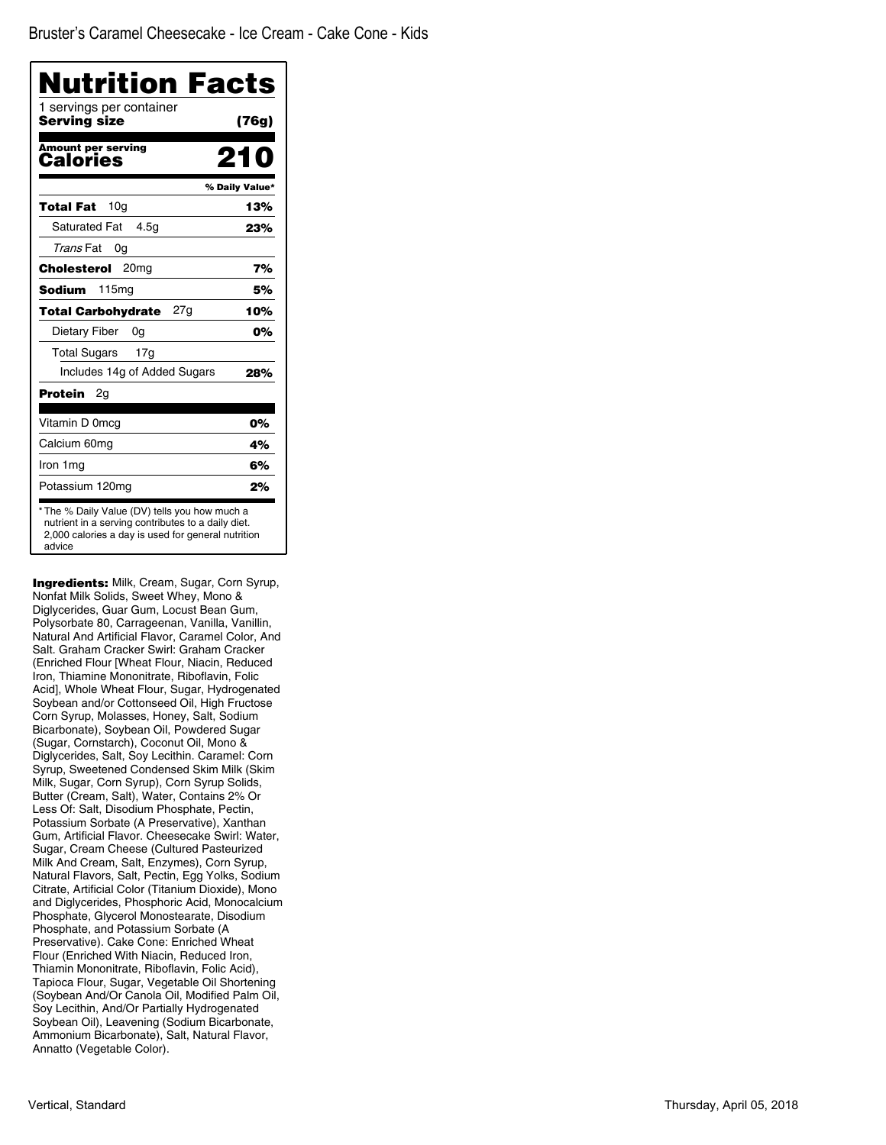| 1 servings per container<br>Serving size | (76g)          |
|------------------------------------------|----------------|
| <b>Amount per serving</b><br>Calories    | 210            |
|                                          | % Daily Value* |
| 10a<br>Total Fat                         | 13%            |
| <b>Saturated Fat</b><br>4.5q             | 23%            |
| Trans Fat<br>0g                          |                |
| Cholesterol<br>20 <sub>mq</sub>          | 7%             |
| Sodium<br>115mg                          | 5%             |
| 27a<br><b>Total Carbohydrate</b>         | 10%            |
| Dietary Fiber<br>0g                      | 0%             |
| <b>Total Sugars</b><br>17 <sub>q</sub>   |                |
| Includes 14g of Added Sugars             | 28%            |
| Protein<br>2g                            |                |
| Vitamin D 0mcg                           | 0%             |
| Calcium 60mg                             | 4%             |
| Iron 1mg                                 | 6%             |
| Potassium 120mg                          | 2%             |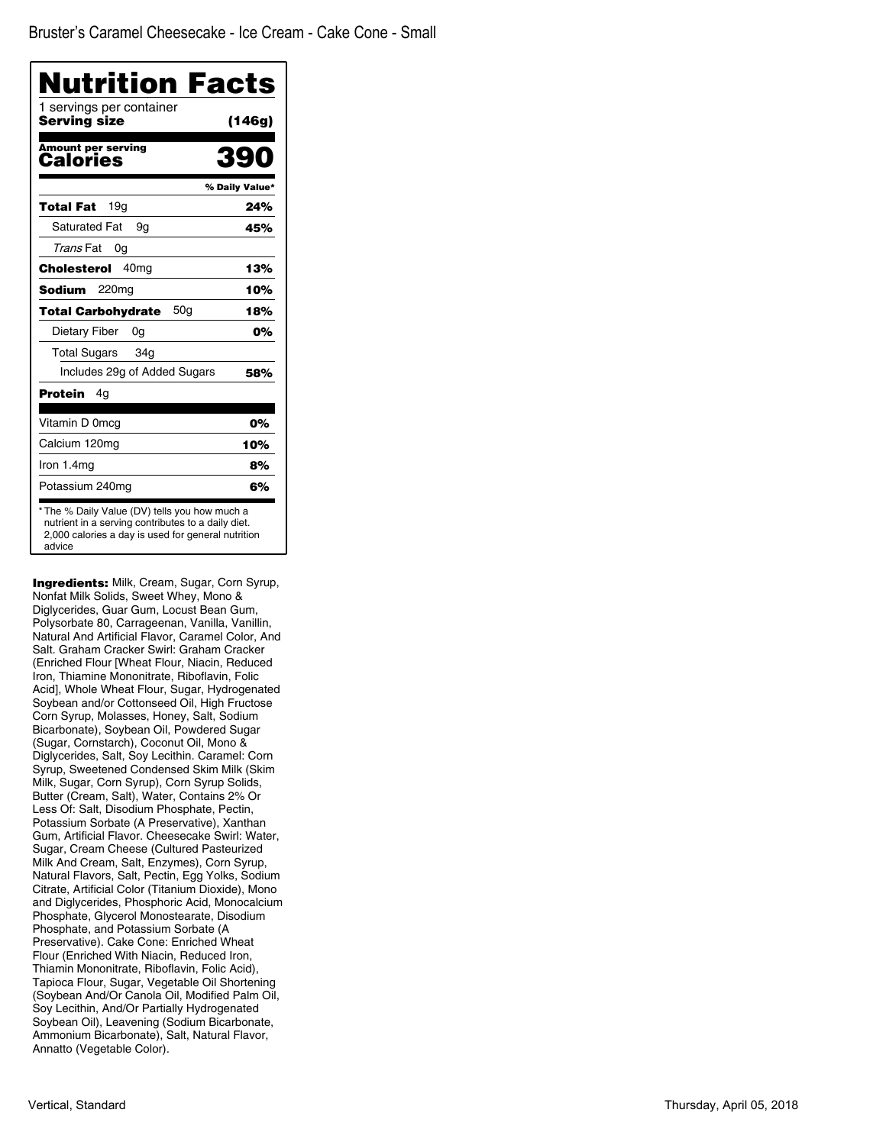| 1 servings per container<br>Serving size | (146g)         |
|------------------------------------------|----------------|
| <b>Amount per serving</b><br>Calories    | 39             |
|                                          | % Daily Value* |
| 19a<br>Total Fat                         | 24%            |
| <b>Saturated Fat</b><br>9g               | 45%            |
| Trans Fat<br>0g                          |                |
| 40 <sub>mg</sub><br>Cholesterol          | 13%            |
| Sodium<br>220mg                          | 10%            |
| 50a<br><b>Total Carbohydrate</b>         | 18%            |
| Dietary Fiber<br>0g                      | 0%             |
| Total Sugars<br>34 <sub>q</sub>          |                |
| Includes 29g of Added Sugars             | 58%            |
| Protein<br>4g                            |                |
| Vitamin D 0mcg                           | 0%             |
| Calcium 120mg                            | 10%            |
| Iron 1.4mg                               | 8%             |
| Potassium 240mg                          | 6%             |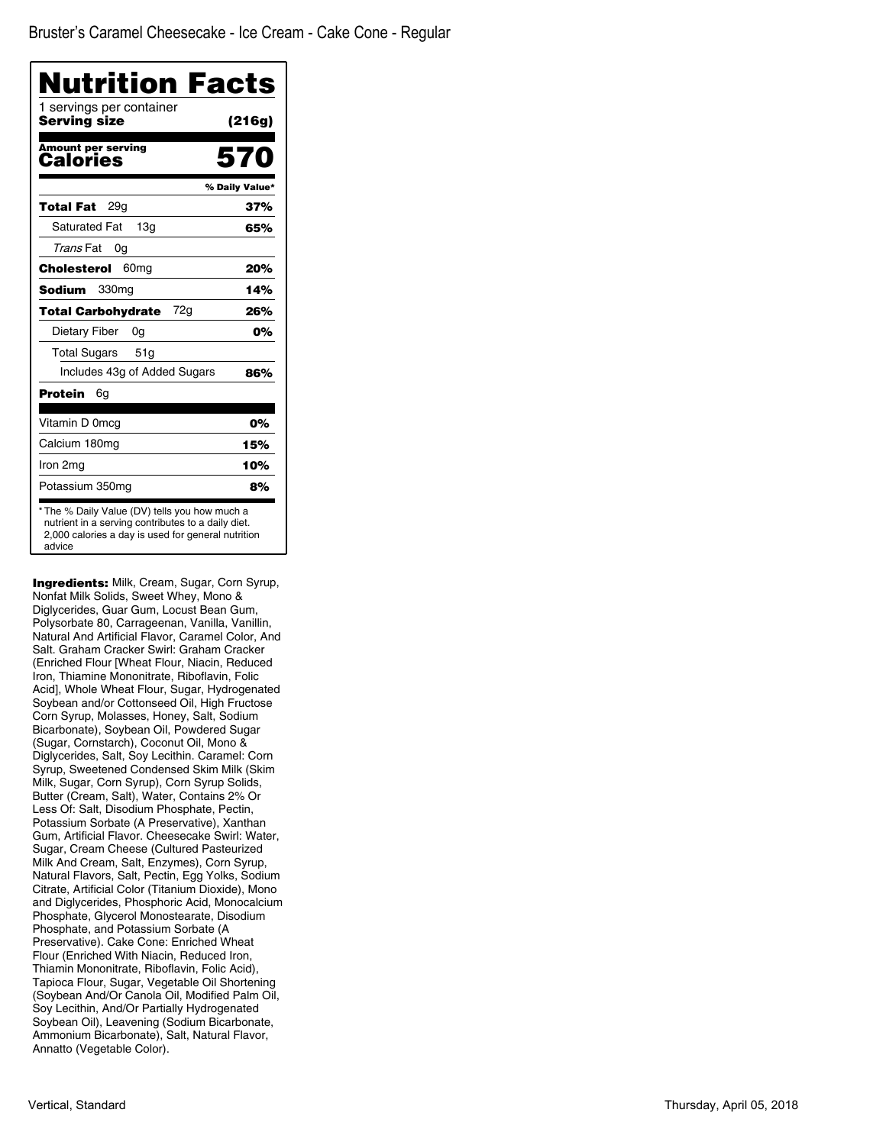| <b>Nutrition Facts</b><br>1 servings per container |                |
|----------------------------------------------------|----------------|
| Serving size                                       | (216g)         |
| <b>Amount per serving</b><br>Calories              | 570            |
|                                                    | % Daily Value* |
| 29a<br>Total Fat                                   | 37%            |
| <b>Saturated Fat</b><br>13 <sub>q</sub>            | 65%            |
| Trans Fat<br>0g                                    |                |
| Cholesterol<br>60 <sub>mg</sub>                    | 20%            |
| Sodium<br>330 <sub>mg</sub>                        | 14%            |
| 72g<br><b>Total Carbohydrate</b>                   | 26%            |
| Dietary Fiber<br>0g                                | 0%             |
| <b>Total Sugars</b><br>51g                         |                |
| Includes 43g of Added Sugars                       | 86%            |
| Protein<br>6g                                      |                |
| Vitamin D 0mcq                                     | 0%             |
| Calcium 180mg                                      | 15%            |
| Iron 2mg                                           | 10%            |
| Potassium 350mg                                    | 8%             |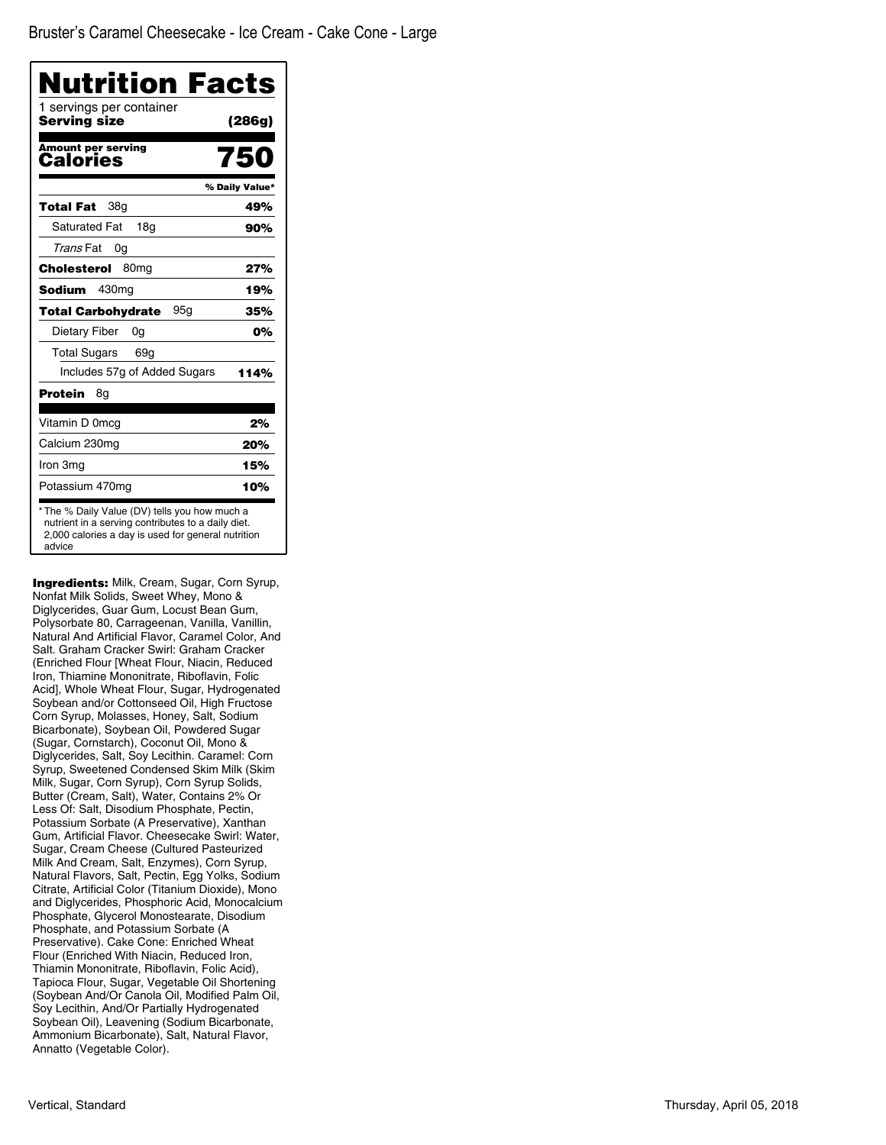| Nutrition Facts<br>1 servings per container<br>Serving size |                |
|-------------------------------------------------------------|----------------|
|                                                             | (286g)         |
| <b>Amount per serving</b><br>Calories                       | 750            |
|                                                             | % Daily Value* |
| 38g<br>Total Fat                                            | 49%            |
| <b>Saturated Fat</b><br>18g                                 | 90%            |
| Trans Fat<br>0g                                             |                |
| Cholesterol<br>80 <sub>mq</sub>                             | 27%            |
| 430mg<br>Sodium                                             | 19%            |
| 95a<br><b>Total Carbohydrate</b>                            | 35%            |
| Dietary Fiber<br>0g                                         | 0%             |
| <b>Total Sugars</b><br>69g                                  |                |
| Includes 57g of Added Sugars                                | 114%           |
| Protein<br>8g                                               |                |
| Vitamin D 0mcg                                              | 2%             |
| Calcium 230mg                                               | 20%            |
| Iron 3mg                                                    | 15%            |
| Potassium 470mg                                             | 10%            |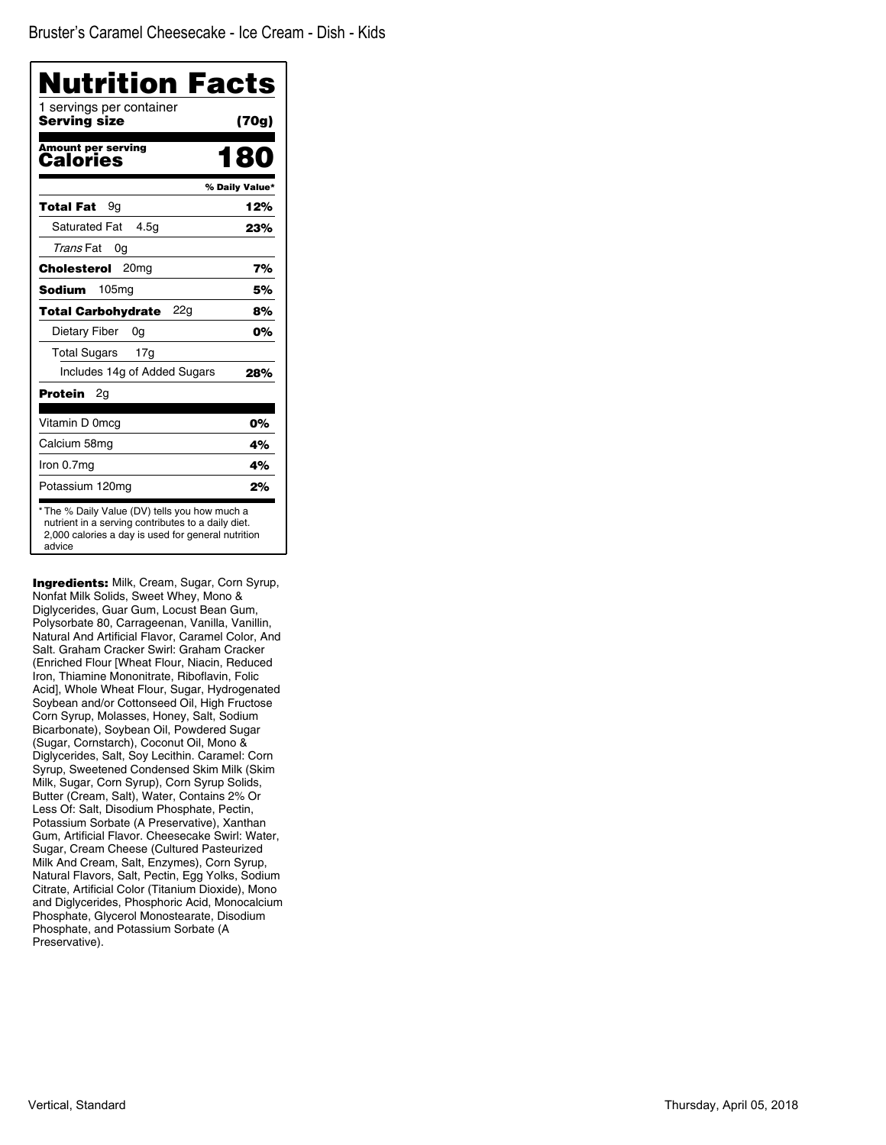| Nutrition Facts<br>1 servings per container<br>Serving size | (70g)          |
|-------------------------------------------------------------|----------------|
| <b>Amount per serving</b><br>Calories                       | 180            |
|                                                             | % Daily Value* |
| Total Fat<br>9a                                             | 12%            |
| <b>Saturated Fat</b><br>4.5q                                | 23%            |
| Trans Fat<br>0g                                             |                |
| 20 <sub>mq</sub><br>Cholesterol                             | 7%             |
| Sodium<br>105mg                                             | 5%             |
| 22a<br><b>Total Carbohydrate</b>                            | 8%             |
| Dietary Fiber<br>0g                                         | 0%             |
| <b>Total Sugars</b><br>17 <sub>g</sub>                      |                |
| Includes 14g of Added Sugars                                | 28%            |
| Protein<br>2g                                               |                |
| Vitamin D 0mcg                                              | 0%             |
| Calcium 58mg                                                | 4%             |
| Iron 0.7mg                                                  | 4%             |
| Potassium 120mg                                             | 2%             |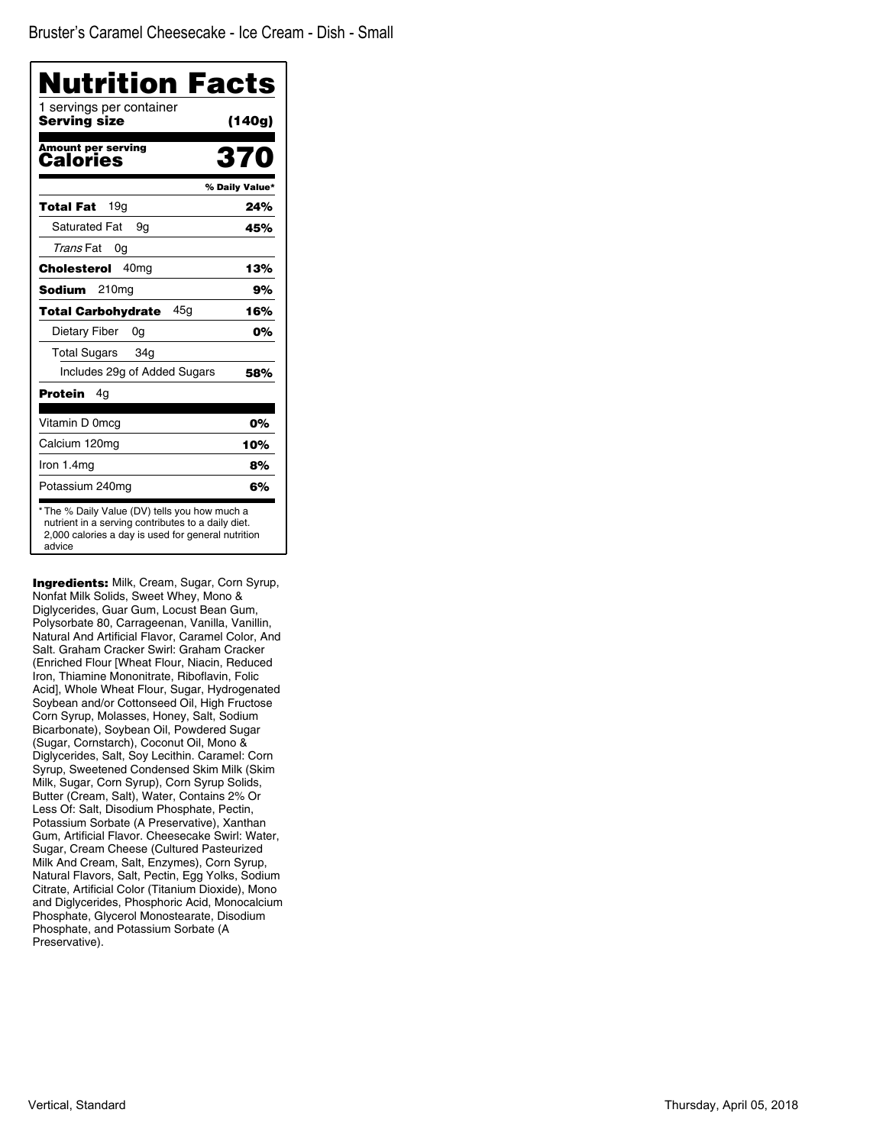| 1 servings per container<br>Serving size | (140g)         |
|------------------------------------------|----------------|
| <b>Amount per serving</b><br>Calories    | 370            |
|                                          | % Daily Value* |
| 19a<br>Total Fat                         | 24%            |
| <b>Saturated Fat</b><br>9g               | 45%            |
| Trans Fat<br>0g                          |                |
| Cholesterol<br>40 <sub>mq</sub>          | 13%            |
| 210mg<br>Sodium                          | 9%             |
| 45a<br><b>Total Carbohydrate</b>         | 16%            |
| Dietary Fiber<br>0g                      | 0%             |
| <b>Total Sugars</b><br>34g               |                |
| Includes 29g of Added Sugars             | 58%            |
| Protein<br>4q                            |                |
| Vitamin D 0mcq                           | 0%             |
| Calcium 120mg                            | 10%            |
| Iron 1.4mg                               | 8%             |
| Potassium 240mg                          | 6%             |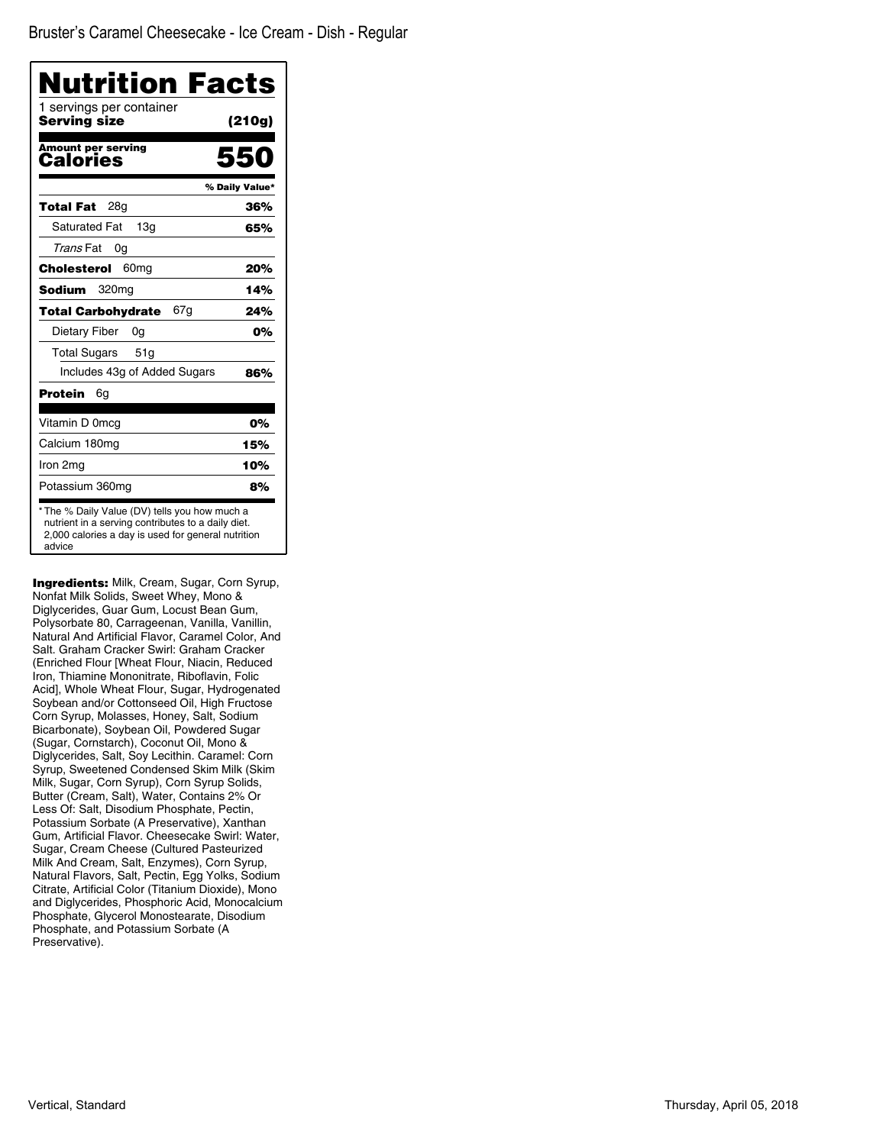| Nutrition Facts<br>1 servings per container<br>Serving size | (210g)         |
|-------------------------------------------------------------|----------------|
| <b>Amount per serving</b><br>Calories                       | 550            |
|                                                             | % Daily Value* |
| 28a<br>Total Fat                                            | 36%            |
| <b>Saturated Fat</b><br>13q                                 | 65%            |
| Trans Fat<br>0g                                             |                |
| 60 <sub>mg</sub><br>Cholesterol                             | 20%            |
| Sodium<br>320 <sub>mg</sub>                                 | 14%            |
| 67g<br><b>Total Carbohydrate</b>                            | 24%            |
| Dietary Fiber<br>0a                                         | 0%             |
| <b>Total Sugars</b><br>51g                                  |                |
| Includes 43g of Added Sugars                                | 86%            |
| Protein<br>6g                                               |                |
| Vitamin D 0mcg                                              | 0%             |
| Calcium 180mg                                               | 15%            |
| Iron 2mg                                                    | 10%            |
| Potassium 360mg                                             | 8%             |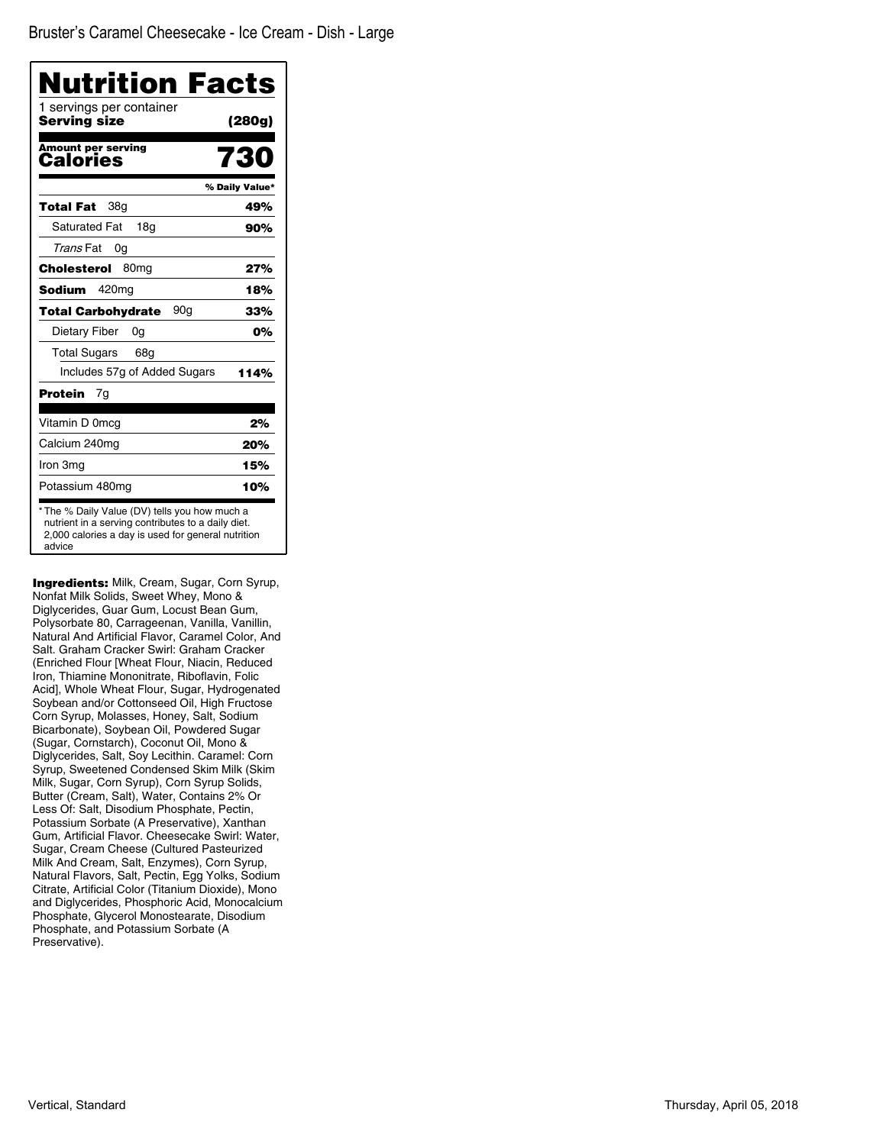| Nutrition Facts<br>1 servings per container<br>Serving size | (280g)         |
|-------------------------------------------------------------|----------------|
|                                                             |                |
| <b>Amount per serving</b><br>Calories                       | 730            |
|                                                             | % Daily Value* |
| 38 <sub>q</sub><br>Total Fat                                | 49%            |
| <b>Saturated Fat</b><br>18a                                 | 90%            |
| Trans Fat<br>0g                                             |                |
| Cholesterol<br>80 <sub>mq</sub>                             | 27%            |
| Sodium<br>420 <sub>mg</sub>                                 | 18%            |
| 90g<br><b>Total Carbohydrate</b>                            | 33%            |
| Dietary Fiber<br>0g                                         | 0%             |
| <b>Total Sugars</b><br>68a                                  |                |
| Includes 57g of Added Sugars                                | 114%           |
| Protein<br>7g                                               |                |
| Vitamin D 0mcg                                              | 2%             |
| Calcium 240mg                                               | 20%            |
| Iron 3mg                                                    | 15%            |
| Potassium 480mg                                             | 10%            |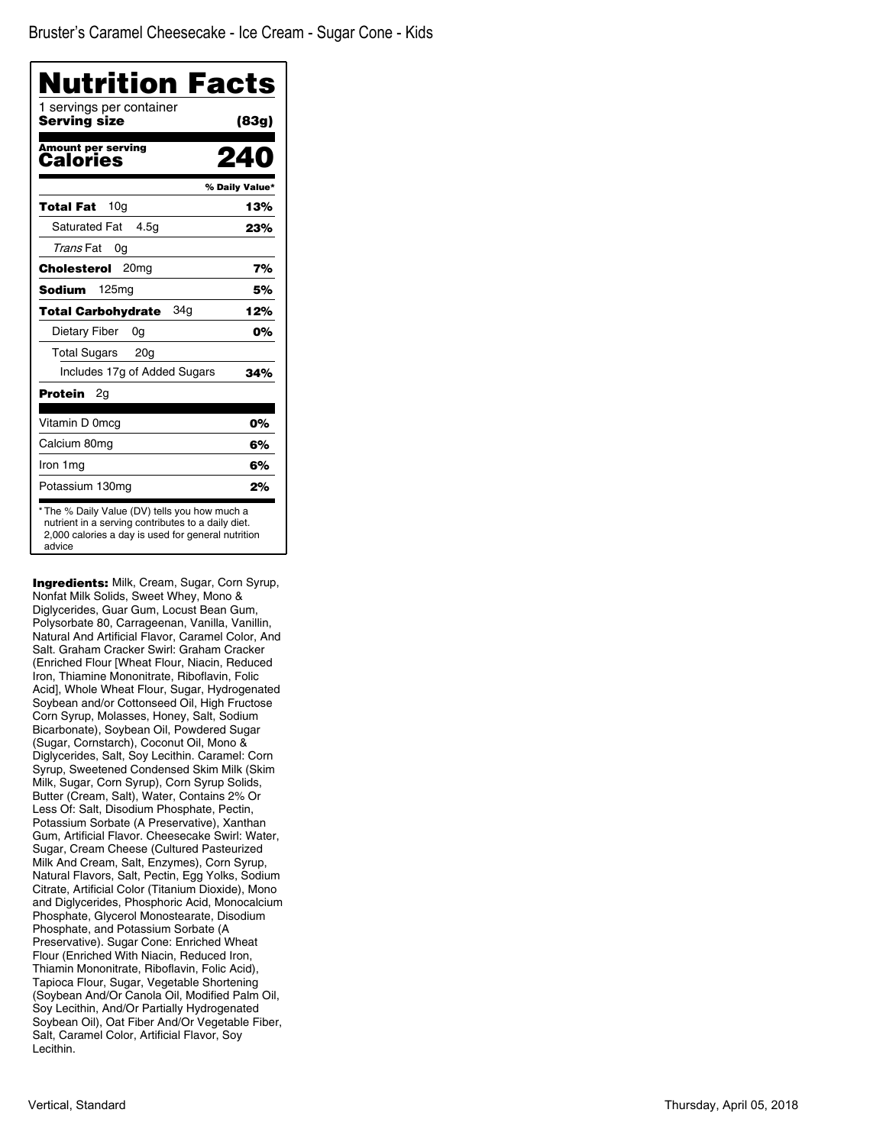| 1 servings per container<br>Serving size | (83g)          |
|------------------------------------------|----------------|
| <b>Amount per serving</b><br>Calories    |                |
|                                          | % Daily Value* |
| 10 <sub>q</sub><br>Total Fat             | 13%            |
| <b>Saturated Fat</b><br>4.5q             | 23%            |
| Trans Fat<br>0g                          |                |
| 20 <sub>mq</sub><br>Cholesterol          | 7%             |
| Sodium<br>125mg                          | 5%             |
| 34a<br><b>Total Carbohydrate</b>         | 12%            |
| Dietary Fiber<br>0g                      | 0%             |
| <b>Total Sugars</b><br>20 <sub>g</sub>   |                |
| Includes 17g of Added Sugars             | 34%            |
| Protein<br>2g                            |                |
| Vitamin D 0mcg                           | 0%             |
| Calcium 80mg                             | 6%             |
| Iron 1mg                                 | 6%             |
| Potassium 130mg                          | 2%             |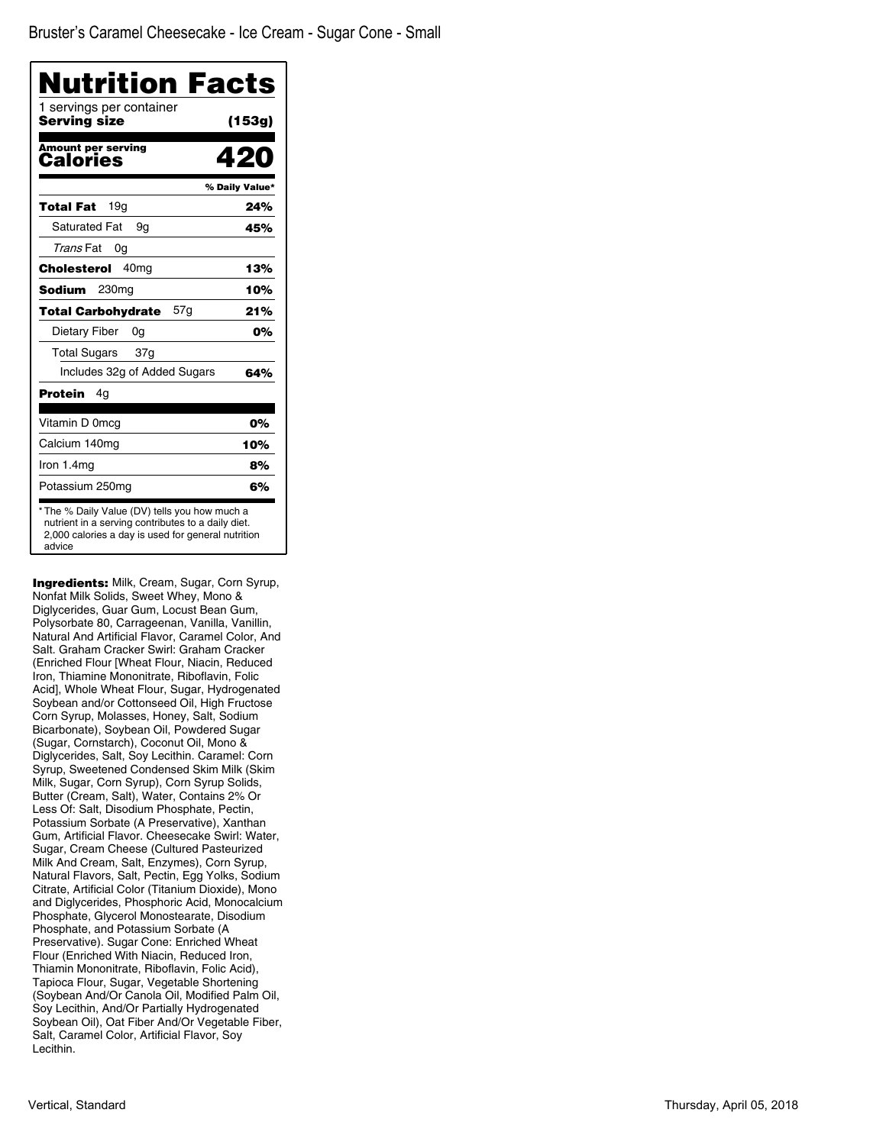| Nutrition Facts                                                                                                                                                     |                |
|---------------------------------------------------------------------------------------------------------------------------------------------------------------------|----------------|
| 1 servings per container<br>Serving size                                                                                                                            | (153g)         |
| <b>Amount per serving</b><br>Calories                                                                                                                               | 420            |
|                                                                                                                                                                     | % Daily Value* |
| 19a<br><b>Total Fat</b>                                                                                                                                             | 24%            |
| <b>Saturated Fat</b><br>9g                                                                                                                                          | 45%            |
| Trans Fat<br>0g                                                                                                                                                     |                |
| 40 <sub>mg</sub><br>Cholesterol                                                                                                                                     | 13%            |
| Sodium<br>230 <sub>mg</sub>                                                                                                                                         | 10%            |
| 57g<br><b>Total Carbohydrate</b>                                                                                                                                    | 21%            |
| Dietary Fiber<br>0g                                                                                                                                                 | 0%             |
| <b>Total Sugars</b><br>37 <sub>g</sub>                                                                                                                              |                |
| Includes 32g of Added Sugars                                                                                                                                        | 64%            |
| Protein<br>4g                                                                                                                                                       |                |
| Vitamin D 0mcg                                                                                                                                                      | 0%             |
| Calcium 140mg                                                                                                                                                       | 10%            |
| Iron 1.4mg                                                                                                                                                          | 8%             |
| Potassium 250mg                                                                                                                                                     | 6%             |
| * The % Daily Value (DV) tells you how much a<br>nutrient in a serving contributes to a daily diet.<br>2,000 calories a day is used for general nutrition<br>advice |                |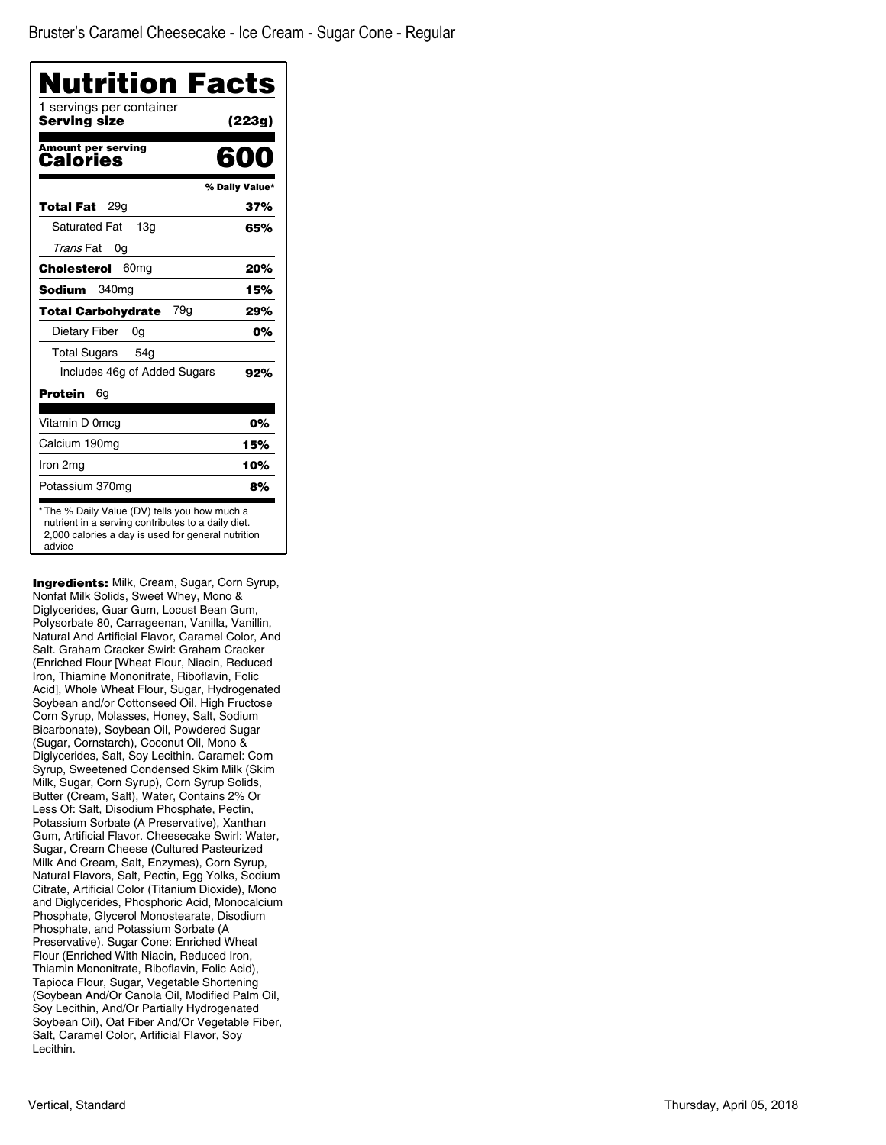| 1 servings per container<br>Serving size | Nutrition Facts<br>(223g) |
|------------------------------------------|---------------------------|
| <b>Amount per serving</b>                |                           |
| Calories                                 | RNN                       |
|                                          | % Daily Value*            |
| 29a<br>Total Fat                         | 37%                       |
| <b>Saturated Fat</b><br>13 <sub>q</sub>  | 65%                       |
| Trans Fat<br>0g                          |                           |
| Cholesterol<br>60 <sub>mg</sub>          | 20%                       |
| Sodium<br>340mg                          | 15%                       |
| 79g<br><b>Total Carbohydrate</b>         | 29%                       |
| Dietary Fiber<br>0g                      | 0%                        |
| <b>Total Sugars</b><br>54 <sub>g</sub>   |                           |
| Includes 46g of Added Sugars             | 92%                       |
| Protein<br>6q                            |                           |
| Vitamin D 0mcq                           | 0%                        |
| Calcium 190mg                            | 15%                       |
| Iron 2mg                                 | 10%                       |
| Potassium 370mg                          | 8%                        |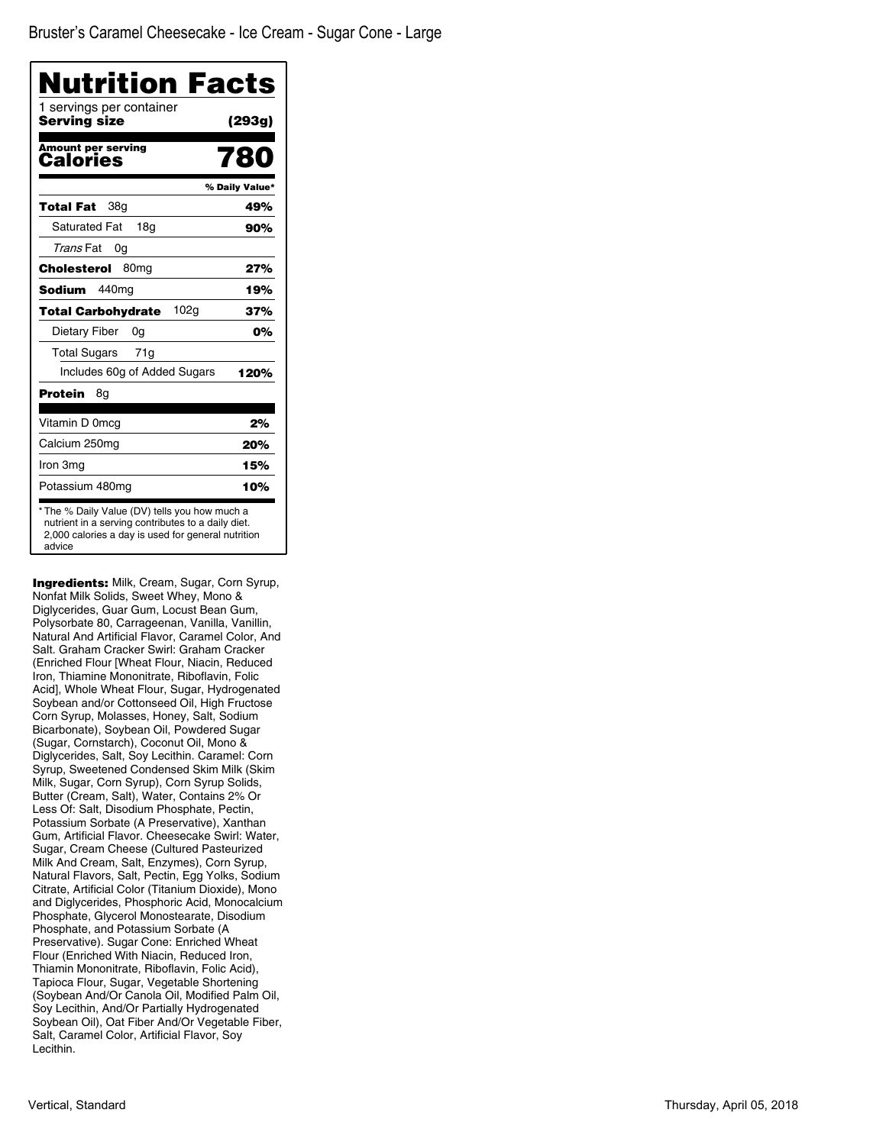| Nutrition Facts<br>1 servings per container |                |
|---------------------------------------------|----------------|
| Serving size                                | (293g)         |
| <b>Amount per serving</b><br>Calories       | 780            |
|                                             | % Daily Value* |
| 38g<br>Total Fat                            | 49%            |
| <b>Saturated Fat</b><br>18a                 | 90%            |
| Trans Fat<br>0g                             |                |
| Cholesterol<br>80 <sub>mq</sub>             | 27%            |
| 440ma<br><b>Sodium</b>                      | 19%            |
| 102g<br><b>Total Carbohydrate</b>           | 37%            |
| Dietary Fiber<br>0g                         | 0%             |
| <b>Total Sugars</b><br>71g                  |                |
| Includes 60g of Added Sugars                | 120%           |
| Protein<br>8g                               |                |
| Vitamin D 0mcg                              | 2%             |
| Calcium 250mg                               | 20%            |
| Iron 3mg                                    | 15%            |
| Potassium 480mg                             | 10%            |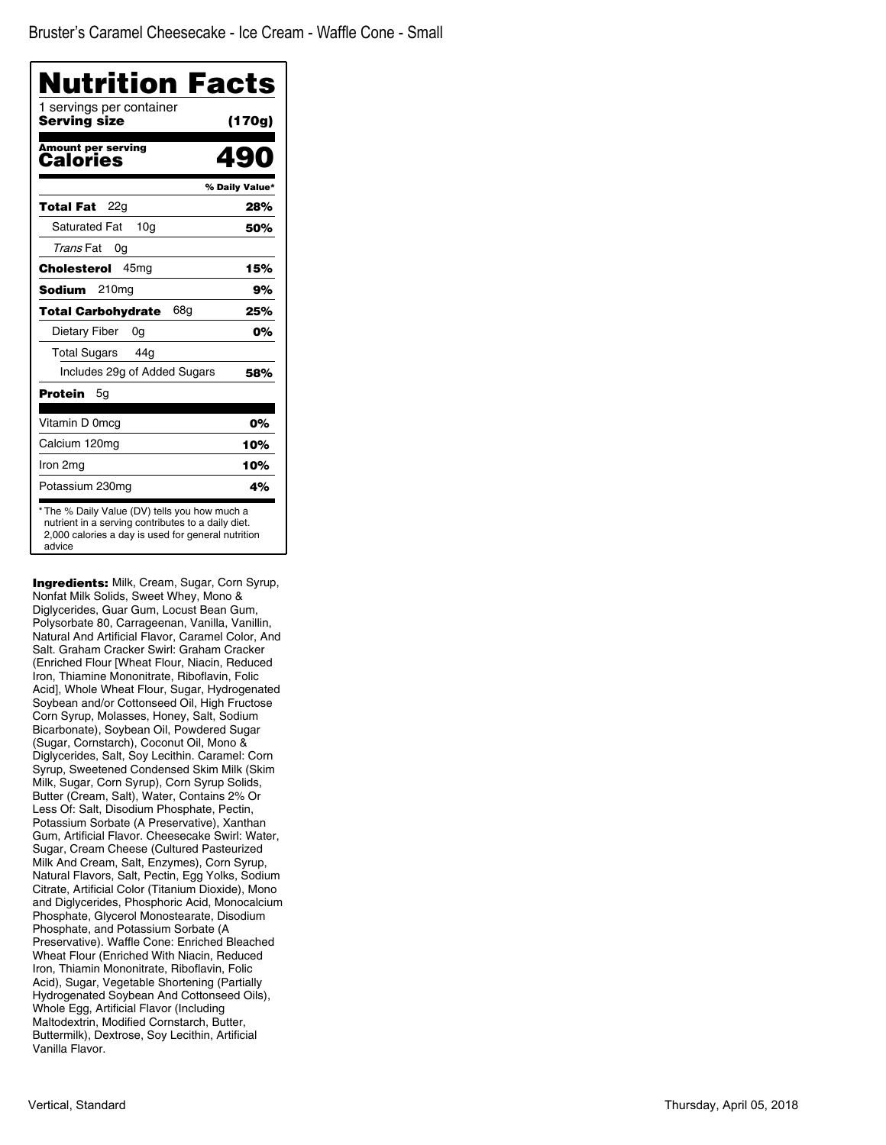| <b>Nutrition Facts</b><br>1 servings per container |                |
|----------------------------------------------------|----------------|
| Serving size                                       | (170g)         |
| <b>Amount per serving</b><br>Calories              | 49             |
|                                                    | % Daily Value* |
| 22g<br>Total Fat                                   | 28%            |
| <b>Saturated Fat</b><br>10 <sub>q</sub>            | 50%            |
| Trans Fat<br>0g                                    |                |
| 45 <sub>mg</sub><br>Cholesterol                    | 15%            |
| Sodium<br>210 <sub>mg</sub>                        | 9%             |
| 68g<br><b>Total Carbohydrate</b>                   | 25%            |
| Dietary Fiber<br>0g                                | 0%             |
| <b>Total Sugars</b><br>44a                         |                |
| Includes 29g of Added Sugars                       | 58%            |
| Protein<br>5g                                      |                |
| Vitamin D 0mcg                                     | 0%             |
| Calcium 120mg                                      | 10%            |
| Iron 2mg                                           | 10%            |
| Potassium 230mg                                    | 4%             |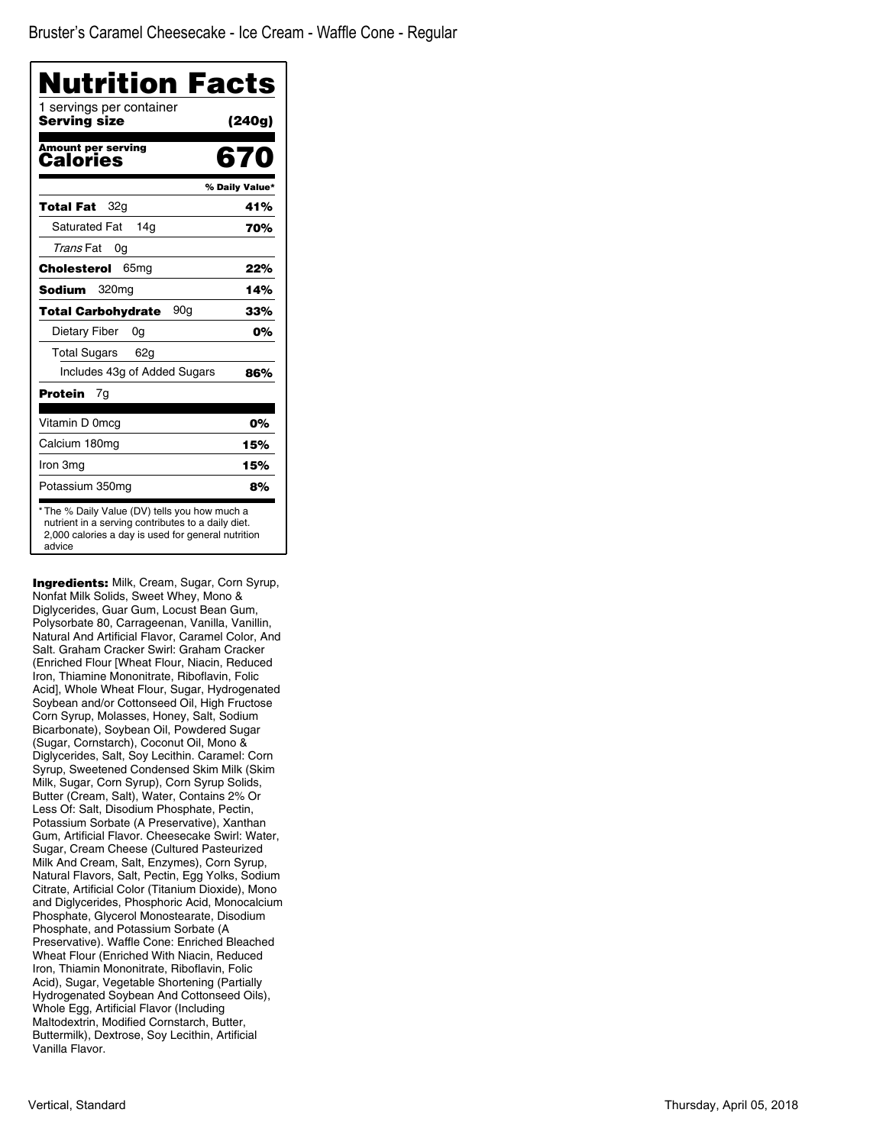| 1 servings per container<br>Serving size     | (240g)         |
|----------------------------------------------|----------------|
| <b>Amount per serving</b><br>Calories        | 670            |
|                                              | % Daily Value* |
| 32g<br>Total Fat                             | 41%            |
| <b>Saturated Fat</b><br>14a                  | 70%            |
| Trans Fat<br>0g                              |                |
| Cholesterol<br>65 <sub>mg</sub>              | 22%            |
| Sodium<br>320 <sub>mg</sub>                  | 14%            |
| 90 <sub>q</sub><br><b>Total Carbohydrate</b> | 33%            |
| Dietary Fiber<br>0g                          | 0%             |
| <b>Total Sugars</b><br>62 <sub>q</sub>       |                |
| Includes 43g of Added Sugars                 | 86%            |
| Protein<br>7g                                |                |
| Vitamin D 0mcq                               | 0%             |
| Calcium 180mg                                | 15%            |
| Iron 3mg                                     | 15%            |
| Potassium 350mg                              | 8%             |